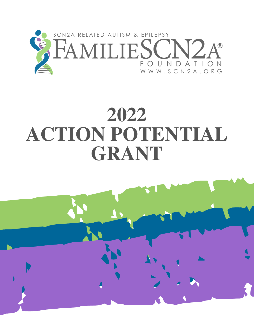

# **2022 ACTION POTENTIAL GRANT**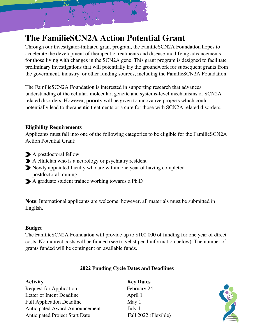

## **The FamilieSCN2A Action Potential Grant**

Through our investigator-initiated grant program, the FamilieSCN2A Foundation hopes to accelerate the development of therapeutic treatments and disease-modifying advancements for those living with changes in the SCN2A gene. This grant program is designed to facilitate preliminary investigations that will potentially lay the groundwork for subsequent grants from the government, industry, or other funding sources, including the FamilieSCN2A Foundation.

The FamilieSCN2A Foundation is interested in supporting research that advances understanding of the cellular, molecular, genetic and systems-level mechanisms of SCN2A related disorders. However, priority will be given to innovative projects which could potentially lead to therapeutic treatments or a cure for those with SCN2A related disorders.

## **Eligibility Requirements**

Applicants must fall into one of the following categories to be eligible for the FamilieSCN2A Action Potential Grant:

- A postdoctoral fellow
- A clinician who is a neurology or psychiatry resident
- Newly appointed faculty who are within one year of having completed postdoctoral training
- A graduate student trainee working towards a Ph.D

**Note**: International applicants are welcome, however, all materials must be submitted in English.

## **Budget**

The FamilieSCN2A Foundation will provide up to \$100,000 of funding for one year of direct costs. No indirect costs will be funded (see travel stipend information below). The number of grants funded will be contingent on available funds.

## **2022 Funding Cycle Dates and Deadlines**

| <b>Activity</b>                       | <b>Key Dates</b>     |
|---------------------------------------|----------------------|
| <b>Request for Application</b>        | February 24          |
| Letter of Intent Deadline             | April 1              |
| <b>Full Application Deadline</b>      | May $1$              |
| <b>Anticipated Award Announcement</b> | July 1               |
| <b>Anticipated Project Start Date</b> | Fall 2022 (Flexible) |

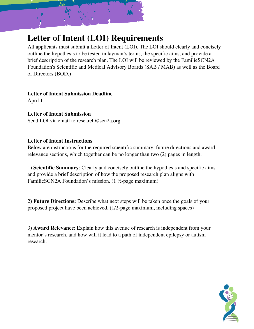

## **Letter of Intent (LOI) Requirements**

All applicants must submit a Letter of Intent (LOI). The LOI should clearly and concisely outline the hypothesis to be tested in layman's terms, the specific aims, and provide a brief description of the research plan. The LOI will be reviewed by the FamilieSCN2A Foundation's Scientific and Medical Advisory Boards (SAB / MAB) as well as the Board of Directors (BOD.)

**Letter of Intent Submission Deadline** April 1

**Letter of Intent Submission** Send LOI via email to research@scn2a.org

## **Letter of Intent Instructions**

Below are instructions for the required scientific summary, future directions and award relevance sections, which together can be no longer than two (2) pages in length.

1) **Scientific Summary**: Clearly and concisely outline the hypothesis and specific aims and provide a brief description of how the proposed research plan aligns with FamilieSCN2A Foundation's mission. (1 ½-page maximum)

2) **Future Directions:** Describe what next steps will be taken once the goals of your proposed project have been achieved. (1/2-page maximum, including spaces)

3) **Award Relevance**: Explain how this avenue of research is independent from your mentor's research, and how will it lead to a path of independent epilepsy or autism research.

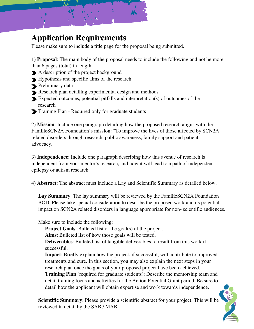

## **Application Requirements**

Please make sure to include a title page for the proposal being submitted.

1) **Proposal**: The main body of the proposal needs to include the following and not be more than 6 pages (total) in length:

- A description of the project background
- Hypothesis and specific aims of the research
- **Preliminary data**
- Research plan detailing experimental design and methods
- Expected outcomes, potential pitfalls and interpretation(s) of outcomes of the research
- Training Plan Required only for graduate students

2) **Mission**: Include one paragraph detailing how the proposed research aligns with the FamilieSCN2A Foundation's mission: "To improve the lives of those affected by SCN2A related disorders through research, public awareness, family support and patient advocacy."

3) **Independence**: Include one paragraph describing how this avenue of research is independent from your mentor's research, and how it will lead to a path of independent epilepsy or autism research.

4) **Abstract**: The abstract must include a Lay and Scientific Summary as detailed below.

Lay **Summary**: The lay summary will be reviewed by the FamilieSCN2A Foundation BOD. Please take special consideration to describe the proposed work and its potential impact on SCN2A related disorders in language appropriate for non- scientific audiences.

Make sure to include the following:

**Project Goals:** Bulleted list of the goal(s) of the project.

**Aims**: Bulleted list of how those goals will be tested.

**Deliverables**: Bulleted list of tangible deliverables to result from this work if successful.

**Impact**: Briefly explain how the project, if successful, will contribute to improved treatments and cure. In this section, you may also explain the next steps in your research plan once the goals of your proposed project have been achieved. **Training Plan** (required for graduate students): Describe the mentorship team and detail training focus and activities for the Action Potential Grant period. Be sure to detail how the applicant will obtain expertise and work towards independence.

**Scientific Summary**: Please provide a scientific abstract for your project. This will be reviewed in detail by the SAB / MAB.